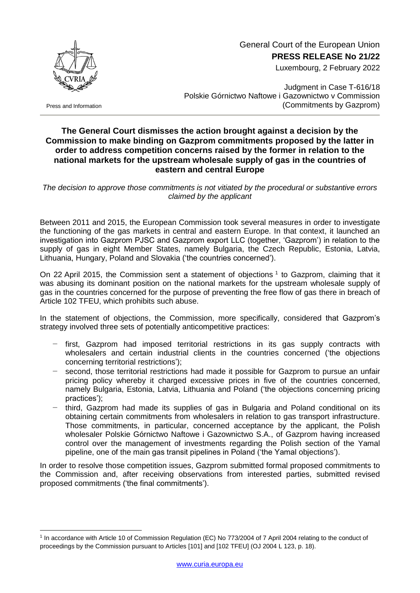

General Court of the European Union

**PRESS RELEASE No 21/22**

Luxembourg, 2 February 2022

Press and Information

<u>.</u>

Judgment in Case T-616/18 Polskie Górnictwo Naftowe i Gazownictwo v Commission (Commitments by Gazprom)

## **The General Court dismisses the action brought against a decision by the Commission to make binding on Gazprom commitments proposed by the latter in order to address competition concerns raised by the former in relation to the national markets for the upstream wholesale supply of gas in the countries of eastern and central Europe**

*The decision to approve those commitments is not vitiated by the procedural or substantive errors claimed by the applicant*

Between 2011 and 2015, the European Commission took several measures in order to investigate the functioning of the gas markets in central and eastern Europe. In that context, it launched an investigation into Gazprom PJSC and Gazprom export LLC (together, 'Gazprom') in relation to the supply of gas in eight Member States, namely Bulgaria, the Czech Republic, Estonia, Latvia, Lithuania, Hungary, Poland and Slovakia ('the countries concerned').

On 22 April 2015, the Commission sent a statement of objections  $1$  to Gazprom, claiming that it was abusing its dominant position on the national markets for the upstream wholesale supply of gas in the countries concerned for the purpose of preventing the free flow of gas there in breach of Article 102 TFEU, which prohibits such abuse.

In the statement of objections, the Commission, more specifically, considered that Gazprom's strategy involved three sets of potentially anticompetitive practices:

- first, Gazprom had imposed territorial restrictions in its gas supply contracts with wholesalers and certain industrial clients in the countries concerned ('the objections concerning territorial restrictions');
- second, those territorial restrictions had made it possible for Gazprom to pursue an unfair pricing policy whereby it charged excessive prices in five of the countries concerned, namely Bulgaria, Estonia, Latvia, Lithuania and Poland ('the objections concerning pricing practices');
- third, Gazprom had made its supplies of gas in Bulgaria and Poland conditional on its obtaining certain commitments from wholesalers in relation to gas transport infrastructure. Those commitments, in particular, concerned acceptance by the applicant, the Polish wholesaler Polskie Górnictwo Naftowe i Gazownictwo S.A., of Gazprom having increased control over the management of investments regarding the Polish section of the Yamal pipeline, one of the main gas transit pipelines in Poland ('the Yamal objections').

In order to resolve those competition issues, Gazprom submitted formal proposed commitments to the Commission and, after receiving observations from interested parties, submitted revised proposed commitments ('the final commitments').

<sup>1</sup> In accordance with Article 10 of Commission Regulation (EC) No 773/2004 of 7 April 2004 relating to the conduct of proceedings by the Commission pursuant to Articles [101] and [102 TFEU] (OJ 2004 L 123, p. 18).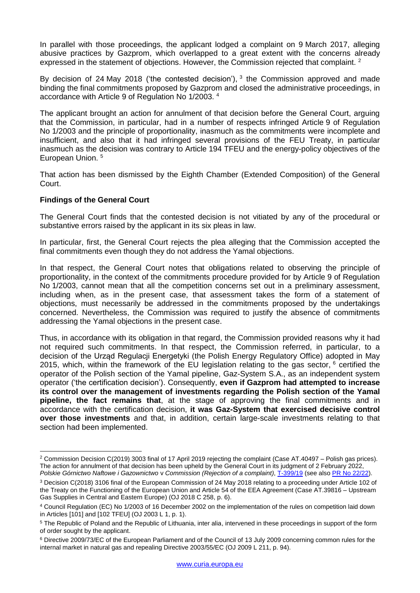In parallel with those proceedings, the applicant lodged a complaint on 9 March 2017, alleging abusive practices by Gazprom, which overlapped to a great extent with the concerns already expressed in the statement of objections. However, the Commission rejected that complaint. <sup>2</sup>

By decision of 24 May 2018 ('the contested decision'),  $3$  the Commission approved and made binding the final commitments proposed by Gazprom and closed the administrative proceedings, in accordance with Article 9 of Regulation No 1/2003. 4

The applicant brought an action for annulment of that decision before the General Court, arguing that the Commission, in particular, had in a number of respects infringed Article 9 of Regulation No 1/2003 and the principle of proportionality, inasmuch as the commitments were incomplete and insufficient, and also that it had infringed several provisions of the FEU Treaty, in particular inasmuch as the decision was contrary to Article 194 TFEU and the energy-policy objectives of the European Union. 5

That action has been dismissed by the Eighth Chamber (Extended Composition) of the General Court.

## **Findings of the General Court**

1

The General Court finds that the contested decision is not vitiated by any of the procedural or substantive errors raised by the applicant in its six pleas in law.

In particular, first, the General Court rejects the plea alleging that the Commission accepted the final commitments even though they do not address the Yamal objections.

In that respect, the General Court notes that obligations related to observing the principle of proportionality, in the context of the commitments procedure provided for by Article 9 of Regulation No 1/2003, cannot mean that all the competition concerns set out in a preliminary assessment, including when, as in the present case, that assessment takes the form of a statement of objections, must necessarily be addressed in the commitments proposed by the undertakings concerned. Nevertheless, the Commission was required to justify the absence of commitments addressing the Yamal objections in the present case.

Thus, in accordance with its obligation in that regard, the Commission provided reasons why it had not required such commitments. In that respect, the Commission referred, in particular, to a decision of the Urząd Regulacji Energetyki (the Polish Energy Regulatory Office) adopted in May 2015, which, within the framework of the EU legislation relating to the gas sector,  $6$  certified the operator of the Polish section of the Yamal pipeline, Gaz-System S.A., as an independent system operator ('the certification decision'). Consequently, **even if Gazprom had attempted to increase its control over the management of investments regarding the Polish section of the Yamal pipeline, the fact remains that**, at the stage of approving the final commitments and in accordance with the certification decision, **it was Gaz-System that exercised decisive control over those investments** and that, in addition, certain large-scale investments relating to that section had been implemented.

<sup>&</sup>lt;sup>2</sup> Commission Decision C(2019) 3003 final of 17 April 2019 rejecting the complaint (Case AT.40497 – Polish gas prices). The action for annulment of that decision has been upheld by the General Court in its judgment of 2 February 2022, *Polskie Górnictwo Naftowe i Gazownictwo* v *Commission (Rejection of a complaint)*, [T-399/19](http://curia.europa.eu/juris/documents.jsf?num=T-399/19) (see also PR No [22/22\)](https://curia.europa.eu/jcms/upload/docs/application/pdf/2022-02/cp220022en.pdf).

<sup>3</sup> Decision C(2018) 3106 final of the European Commission of 24 May 2018 relating to a proceeding under Article 102 of the Treaty on the Functioning of the European Union and Article 54 of the EEA Agreement (Case AT.39816 – Upstream Gas Supplies in Central and Eastern Europe) (OJ 2018 C 258, p. 6).

<sup>4</sup> Council Regulation (EC) No 1/2003 of 16 December 2002 on the implementation of the rules on competition laid down in Articles [101] and [102 TFEU] (OJ 2003 L 1, p. 1).

<sup>5</sup> The Republic of Poland and the Republic of Lithuania, inter alia, intervened in these proceedings in support of the form of order sought by the applicant.

<sup>6</sup> Directive 2009/73/EC of the European Parliament and of the Council of 13 July 2009 concerning common rules for the internal market in natural gas and repealing Directive 2003/55/EC (OJ 2009 L 211, p. 94).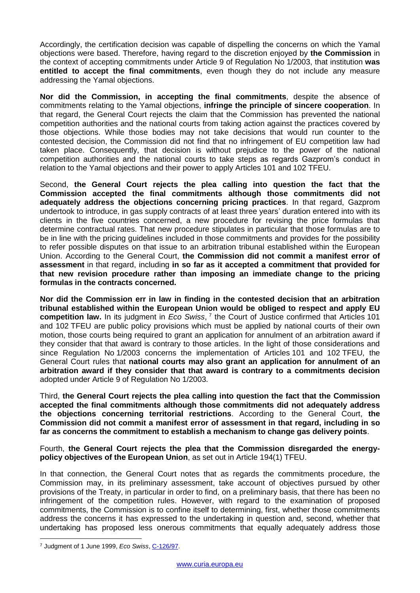Accordingly, the certification decision was capable of dispelling the concerns on which the Yamal objections were based. Therefore, having regard to the discretion enjoyed by **the Commission** in the context of accepting commitments under Article 9 of Regulation No 1/2003, that institution **was entitled to accept the final commitments**, even though they do not include any measure addressing the Yamal objections.

**Nor did the Commission, in accepting the final commitments**, despite the absence of commitments relating to the Yamal objections, **infringe the principle of sincere cooperation**. In that regard, the General Court rejects the claim that the Commission has prevented the national competition authorities and the national courts from taking action against the practices covered by those objections. While those bodies may not take decisions that would run counter to the contested decision, the Commission did not find that no infringement of EU competition law had taken place. Consequently, that decision is without prejudice to the power of the national competition authorities and the national courts to take steps as regards Gazprom's conduct in relation to the Yamal objections and their power to apply Articles 101 and 102 TFEU.

Second, **the General Court rejects the plea calling into question the fact that the Commission accepted the final commitments although those commitments did not adequately address the objections concerning pricing practices**. In that regard, Gazprom undertook to introduce, in gas supply contracts of at least three years' duration entered into with its clients in the five countries concerned, a new procedure for revising the price formulas that determine contractual rates. That new procedure stipulates in particular that those formulas are to be in line with the pricing guidelines included in those commitments and provides for the possibility to refer possible disputes on that issue to an arbitration tribunal established within the European Union. According to the General Court, **the Commission did not commit a manifest error of assessment** in that regard, including **in so far as it accepted a commitment that provided for that new revision procedure rather than imposing an immediate change to the pricing formulas in the contracts concerned.**

**Nor did the Commission err in law in finding in the contested decision that an arbitration tribunal established within the European Union would be obliged to respect and apply EU competition law.** In its judgment in *Eco Swiss*, 7 the Court of Justice confirmed that Articles 101 and 102 TFEU are public policy provisions which must be applied by national courts of their own motion, those courts being required to grant an application for annulment of an arbitration award if they consider that that award is contrary to those articles. In the light of those considerations and since Regulation No 1/2003 concerns the implementation of Articles 101 and 102 TFEU, the General Court rules that **national courts may also grant an application for annulment of an arbitration award if they consider that that award is contrary to a commitments decision**  adopted under Article 9 of Regulation No 1/2003.

Third, **the General Court rejects the plea calling into question the fact that the Commission accepted the final commitments although those commitments did not adequately address the objections concerning territorial restrictions**. According to the General Court, **the Commission did not commit a manifest error of assessment in that regard, including in so far as concerns the commitment to establish a mechanism to change gas delivery points**.

Fourth, **the General Court rejects the plea that the Commission disregarded the energypolicy objectives of the European Union**, as set out in Article 194(1) TFEU.

In that connection, the General Court notes that as regards the commitments procedure, the Commission may, in its preliminary assessment, take account of objectives pursued by other provisions of the Treaty, in particular in order to find, on a preliminary basis, that there has been no infringement of the competition rules. However, with regard to the examination of proposed commitments, the Commission is to confine itself to determining, first, whether those commitments address the concerns it has expressed to the undertaking in question and, second, whether that undertaking has proposed less onerous commitments that equally adequately address those

<u>.</u>

<sup>7</sup> Judgment of 1 June 1999, *Eco Swiss*[, C-126/97.](http://curia.europa.eu/juris/documents.jsf?num=C-126/97)